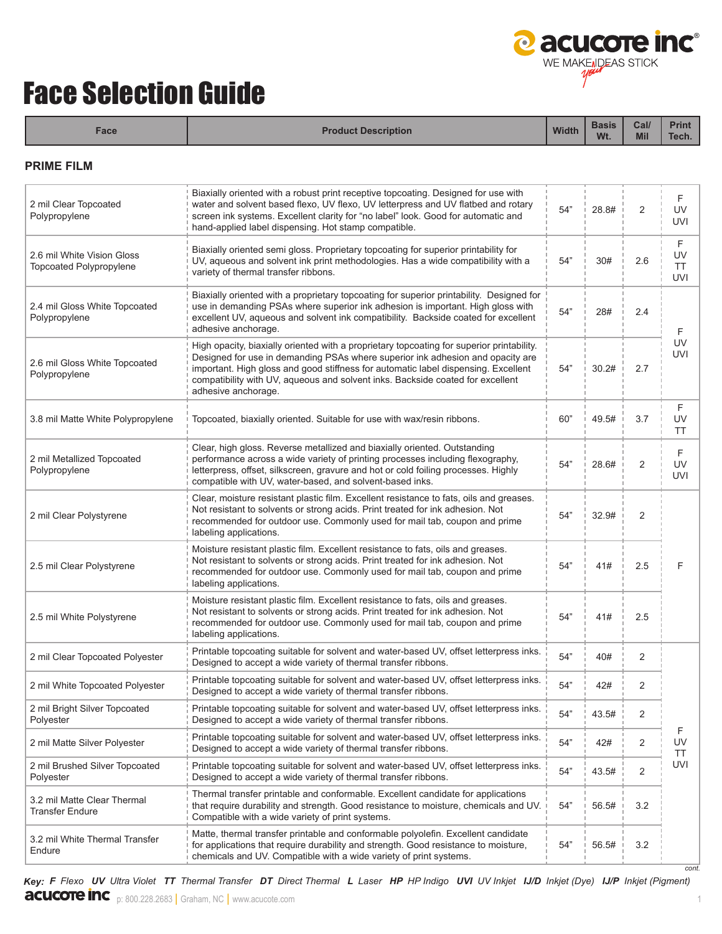

# Face Selection Guide

| Face                                                         | <b>Product Description</b>                                                                                                                                                                                                                                                                                                                                                 | <b>Width</b> | <b>Basis</b><br>Wt. | Cal/<br><b>Mil</b> | <b>Print</b><br>Tech.              |
|--------------------------------------------------------------|----------------------------------------------------------------------------------------------------------------------------------------------------------------------------------------------------------------------------------------------------------------------------------------------------------------------------------------------------------------------------|--------------|---------------------|--------------------|------------------------------------|
| <b>PRIME FILM</b>                                            |                                                                                                                                                                                                                                                                                                                                                                            |              |                     |                    |                                    |
| 2 mil Clear Topcoated<br>Polypropylene                       | Biaxially oriented with a robust print receptive topcoating. Designed for use with<br>water and solvent based flexo, UV flexo, UV letterpress and UV flatbed and rotary<br>screen ink systems. Excellent clarity for "no label" look. Good for automatic and<br>hand-applied label dispensing. Hot stamp compatible.                                                       | 54"          | 28.8#               | $\overline{2}$     | F<br>UV<br><b>UVI</b>              |
| 2.6 mil White Vision Gloss<br><b>Topcoated Polypropylene</b> | Biaxially oriented semi gloss. Proprietary topcoating for superior printability for<br>UV, aqueous and solvent ink print methodologies. Has a wide compatibility with a<br>variety of thermal transfer ribbons.                                                                                                                                                            | 54"          | 30#                 | 2.6                | F<br>UV<br><b>TT</b><br><b>UVI</b> |
| 2.4 mil Gloss White Topcoated<br>Polypropylene               | Biaxially oriented with a proprietary topcoating for superior printability. Designed for<br>use in demanding PSAs where superior ink adhesion is important. High gloss with<br>excellent UV, aqueous and solvent ink compatibility. Backside coated for excellent<br>adhesive anchorage.                                                                                   | 54"          | 28#                 | 2.4                | F                                  |
| 2.6 mil Gloss White Topcoated<br>Polypropylene               | High opacity, biaxially oriented with a proprietary topcoating for superior printability.<br>Designed for use in demanding PSAs where superior ink adhesion and opacity are<br>important. High gloss and good stiffness for automatic label dispensing. Excellent<br>compatibility with UV, aqueous and solvent inks. Backside coated for excellent<br>adhesive anchorage. | 54"          | 30.2#               | 2.7                | UV<br><b>UVI</b>                   |
| 3.8 mil Matte White Polypropylene                            | Topcoated, biaxially oriented. Suitable for use with wax/resin ribbons.                                                                                                                                                                                                                                                                                                    | 60"          | 49.5#               | 3.7                | F<br>UV<br><b>TT</b>               |
|                                                              | Clear high gloss. Reverse metallized and hiaxially oriented. Outstanding                                                                                                                                                                                                                                                                                                   |              |                     |                    |                                    |

| 3.8 mil Matte White Polypropylene                     | Topcoated, biaxially oriented. Suitable for use with wax/resin ribbons.                                                                                                                                                                                                                                       | 60" | 49.5# | 3.7            | UV<br><b>TT</b>       |
|-------------------------------------------------------|---------------------------------------------------------------------------------------------------------------------------------------------------------------------------------------------------------------------------------------------------------------------------------------------------------------|-----|-------|----------------|-----------------------|
| 2 mil Metallized Topcoated<br>Polypropylene           | Clear, high gloss. Reverse metallized and biaxially oriented. Outstanding<br>performance across a wide variety of printing processes including flexography,<br>letterpress, offset, silkscreen, gravure and hot or cold foiling processes. Highly<br>compatible with UV, water-based, and solvent-based inks. | 54" | 28.6# | 2              | F<br>UV<br><b>UVI</b> |
| 2 mil Clear Polystyrene                               | Clear, moisture resistant plastic film. Excellent resistance to fats, oils and greases.<br>Not resistant to solvents or strong acids. Print treated for ink adhesion. Not<br>recommended for outdoor use. Commonly used for mail tab, coupon and prime<br>labeling applications.                              | 54" | 32.9# | $\overline{2}$ |                       |
| 2.5 mil Clear Polystyrene                             | Moisture resistant plastic film. Excellent resistance to fats, oils and greases.<br>Not resistant to solvents or strong acids. Print treated for ink adhesion. Not<br>recommended for outdoor use. Commonly used for mail tab, coupon and prime<br>labeling applications.                                     | 54" | 41#   | 2.5            | F                     |
| 2.5 mil White Polystyrene                             | Moisture resistant plastic film. Excellent resistance to fats, oils and greases.<br>Not resistant to solvents or strong acids. Print treated for ink adhesion. Not<br>recommended for outdoor use. Commonly used for mail tab, coupon and prime<br>labeling applications.                                     | 54" | 41#   | 2.5            |                       |
| 2 mil Clear Topcoated Polyester                       | Printable topcoating suitable for solvent and water-based UV, offset letterpress inks.<br>Designed to accept a wide variety of thermal transfer ribbons.                                                                                                                                                      | 54" | 40#   | $\overline{2}$ |                       |
| 2 mil White Topcoated Polyester                       | Printable topcoating suitable for solvent and water-based UV, offset letterpress inks.<br>Designed to accept a wide variety of thermal transfer ribbons.                                                                                                                                                      | 54" | 42#   | $\overline{2}$ |                       |
| 2 mil Bright Silver Topcoated<br>Polyester            | Printable topcoating suitable for solvent and water-based UV, offset letterpress inks.<br>Designed to accept a wide variety of thermal transfer ribbons.                                                                                                                                                      | 54" | 43.5# | 2              |                       |
| 2 mil Matte Silver Polyester                          | Printable topcoating suitable for solvent and water-based UV, offset letterpress inks.<br>Designed to accept a wide variety of thermal transfer ribbons.                                                                                                                                                      | 54" | 42#   | 2              | F<br>UV<br><b>TT</b>  |
| 2 mil Brushed Silver Topcoated<br>Polyester           | Printable topcoating suitable for solvent and water-based UV, offset letterpress inks.<br>Designed to accept a wide variety of thermal transfer ribbons.                                                                                                                                                      | 54" | 43.5# | 2              | <b>UVI</b>            |
| 3.2 mil Matte Clear Thermal<br><b>Transfer Endure</b> | Thermal transfer printable and conformable. Excellent candidate for applications<br>that require durability and strength. Good resistance to moisture, chemicals and UV.<br>Compatible with a wide variety of print systems.                                                                                  | 54" | 56.5# | 3.2            |                       |
| 3.2 mil White Thermal Transfer<br>Endure              | Matte, thermal transfer printable and conformable polyolefin. Excellent candidate<br>for applications that require durability and strength. Good resistance to moisture,<br>chemicals and UV. Compatible with a wide variety of print systems.                                                                | 54" | 56.5# | 3.2            | cont                  |

**acucote inc** p: 800.228.2683 | Graham, NC | www.acucote.com 1 Key: F Flexo UV Ultra Violet TT Thermal Transfer DT Direct Thermal L Laser HP HP Indigo UVI UV Inkjet IJ/D Inkjet (Dye) IJ/P Inkjet (Pigment)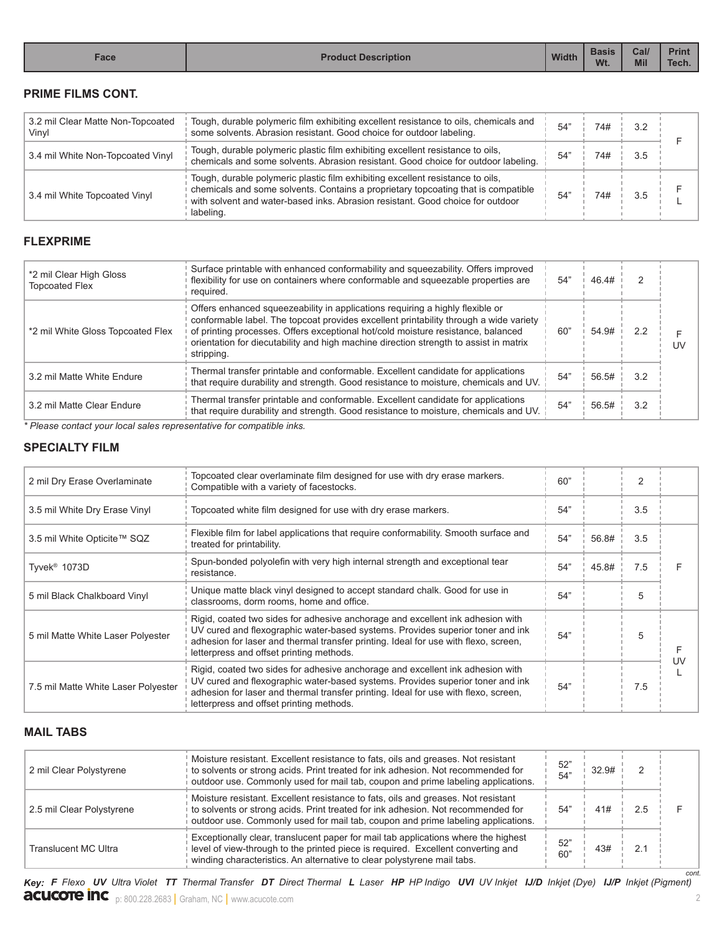| Face | <b>Description</b> | <b>Width</b> | <b>Basis</b><br>Wt. | Cal/<br><b>Mil</b> | <b>Prin</b><br>$-$<br>Tech. |
|------|--------------------|--------------|---------------------|--------------------|-----------------------------|

# **PRIME FILMS CONT.**

| 3.2 mil Clear Matte Non-Topcoated<br>Vinyl | Tough, durable polymeric film exhibiting excellent resistance to oils, chemicals and<br>some solvents. Abrasion resistant. Good choice for outdoor labeling.                                                                                                       | 54" | 74# | 32  |  |
|--------------------------------------------|--------------------------------------------------------------------------------------------------------------------------------------------------------------------------------------------------------------------------------------------------------------------|-----|-----|-----|--|
| 3.4 mil White Non-Topcoated Vinyl          | Tough, durable polymeric plastic film exhibiting excellent resistance to oils,<br>chemicals and some solvents. Abrasion resistant. Good choice for outdoor labeling.                                                                                               | 54" | 74# | 3.5 |  |
| 3.4 mil White Topcoated Vinyl              | Tough, durable polymeric plastic film exhibiting excellent resistance to oils,<br>chemicals and some solvents. Contains a proprietary topcoating that is compatible<br>with solvent and water-based inks. Abrasion resistant. Good choice for outdoor<br>labeling. | 54" | 74# | 3.5 |  |

# **FLEXPRIME**

| *2 mil Clear High Gloss<br><b>Topcoated Flex</b> | Surface printable with enhanced conformability and squeezability. Offers improved<br>flexibility for use on containers where conformable and squeezable properties are<br>required.                                                                                                                                                                               | 54" | 46.4# | 2   |            |
|--------------------------------------------------|-------------------------------------------------------------------------------------------------------------------------------------------------------------------------------------------------------------------------------------------------------------------------------------------------------------------------------------------------------------------|-----|-------|-----|------------|
| *2 mil White Gloss Topcoated Flex                | Offers enhanced squeezeability in applications requiring a highly flexible or<br>conformable label. The topcoat provides excellent printability through a wide variety<br>of printing processes. Offers exceptional hot/cold moisture resistance, balanced<br>orientation for diecutability and high machine direction strength to assist in matrix<br>stripping. | 60" | 54.9# | 2.2 | <b>IIV</b> |
| 3.2 mil Matte White Endure                       | Thermal transfer printable and conformable. Excellent candidate for applications<br>that require durability and strength. Good resistance to moisture, chemicals and UV.                                                                                                                                                                                          | 54" | 56.5# | 32  |            |
| 3.2 mil Matte Clear Endure                       | Thermal transfer printable and conformable. Excellent candidate for applications<br>that require durability and strength. Good resistance to moisture, chemicals and UV.                                                                                                                                                                                          | 54" | 56.5# | 3.2 |            |

*\* Please contact your local sales representative for compatible inks.*

# **SPECIALTY FILM**

| 2 mil Dry Erase Overlaminate        | Topcoated clear overlaminate film designed for use with dry erase markers.<br>Compatible with a variety of facestocks.                                                                                                                                                                              | 60" |       |     |    |
|-------------------------------------|-----------------------------------------------------------------------------------------------------------------------------------------------------------------------------------------------------------------------------------------------------------------------------------------------------|-----|-------|-----|----|
| 3.5 mil White Dry Erase Vinyl       | Topcoated white film designed for use with dry erase markers.                                                                                                                                                                                                                                       | 54" |       | 3.5 |    |
| 3.5 mil White Opticite™ SQZ         | Flexible film for label applications that require conformability. Smooth surface and<br>treated for printability.                                                                                                                                                                                   | 54" | 56.8# | 3.5 |    |
| Tyvek <sup>®</sup> 1073D            | Spun-bonded polyolefin with very high internal strength and exceptional tear<br>resistance.                                                                                                                                                                                                         | 54" | 45.8# | 7.5 |    |
| 5 mil Black Chalkboard Vinyl        | Unique matte black vinyl designed to accept standard chalk. Good for use in<br>classrooms, dorm rooms, home and office.                                                                                                                                                                             | 54" |       | 5   |    |
| 5 mil Matte White Laser Polyester   | Rigid, coated two sides for adhesive anchorage and excellent ink adhesion with<br>UV cured and flexographic water-based systems. Provides superior toner and ink<br>adhesion for laser and thermal transfer printing. Ideal for use with flexo, screen,<br>letterpress and offset printing methods. | 54" |       | 5   | UV |
| 7.5 mil Matte White Laser Polyester | Rigid, coated two sides for adhesive anchorage and excellent ink adhesion with<br>UV cured and flexographic water-based systems. Provides superior toner and ink<br>adhesion for laser and thermal transfer printing. Ideal for use with flexo, screen,<br>letterpress and offset printing methods. | 54" |       | 7.5 |    |

# **MAIL TABS**

| Moisture resistant. Excellent resistance to fats, oils and greases. Not resistant<br>to solvents or strong acids. Print treated for ink adhesion. Not recommended for<br>2.5 mil Clear Polystyrene<br>54"<br>2.5<br>41#<br>outdoor use. Commonly used for mail tab, coupon and prime labeling applications.<br>Exceptionally clear, translucent paper for mail tab applications where the highest<br>52"<br>level of view-through to the printed piece is required. Excellent converting and<br>Translucent MC Ultra<br>43#<br>2.1<br>60"<br>winding characteristics. An alternative to clear polystyrene mail tabs. | 2 mil Clear Polystyrene | Moisture resistant. Excellent resistance to fats, oils and greases. Not resistant<br>to solvents or strong acids. Print treated for ink adhesion. Not recommended for<br>outdoor use. Commonly used for mail tab, coupon and prime labeling applications. | 52"<br>54" | 32.9# |  |
|----------------------------------------------------------------------------------------------------------------------------------------------------------------------------------------------------------------------------------------------------------------------------------------------------------------------------------------------------------------------------------------------------------------------------------------------------------------------------------------------------------------------------------------------------------------------------------------------------------------------|-------------------------|-----------------------------------------------------------------------------------------------------------------------------------------------------------------------------------------------------------------------------------------------------------|------------|-------|--|
|                                                                                                                                                                                                                                                                                                                                                                                                                                                                                                                                                                                                                      |                         |                                                                                                                                                                                                                                                           |            |       |  |
|                                                                                                                                                                                                                                                                                                                                                                                                                                                                                                                                                                                                                      |                         |                                                                                                                                                                                                                                                           |            |       |  |

**acucote inc** p: 800.228.2683 | Graham, NC | www.acucote.com 2 Key: F Flexo UV Ultra Violet TT Thermal Transfer DT Direct Thermal L Laser HP HP Indigo UVI UV Inkjet IJ/D Inkjet (Dye) IJ/P Inkjet (Pigment)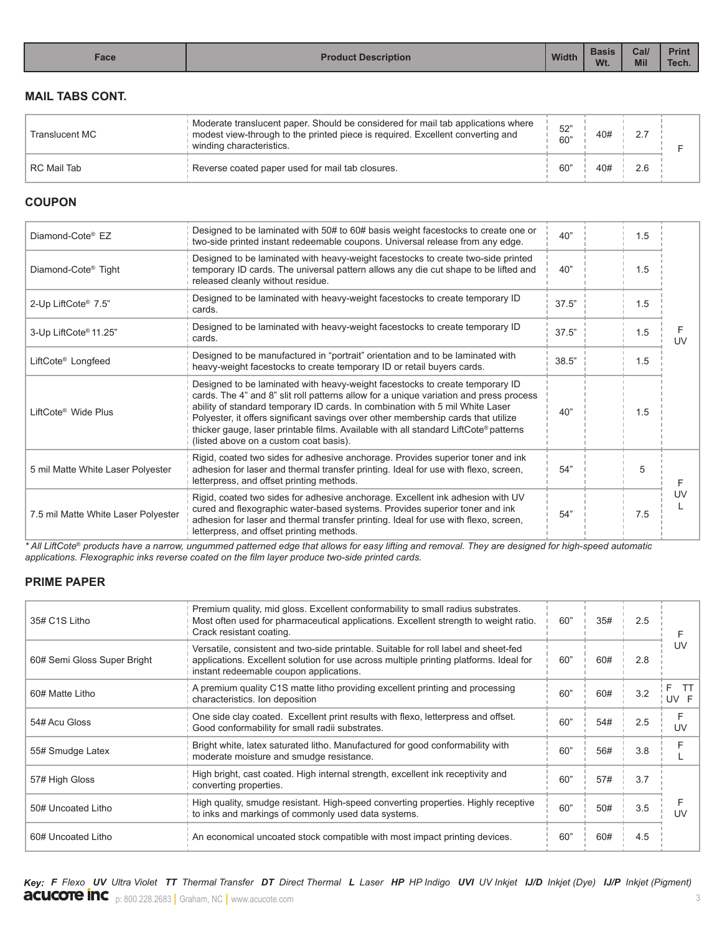| Face | <b>Product Description</b> | <b>Width</b> | <b>Basis</b><br>Wt. | Cal/<br><b>Mil</b> | <b>Print</b><br>Tech. |
|------|----------------------------|--------------|---------------------|--------------------|-----------------------|

#### **MAIL TABS CONT.**

| <b>Translucent MC</b> | Moderate translucent paper. Should be considered for mail tab applications where<br>modest view-through to the printed piece is required. Excellent converting and<br>winding characteristics. | 52"<br>60" | 40# | 2.7 |  |
|-----------------------|------------------------------------------------------------------------------------------------------------------------------------------------------------------------------------------------|------------|-----|-----|--|
| <b>RC Mail Tab</b>    | Reverse coated paper used for mail tab closures.                                                                                                                                               | 60"        | 40# | 2.6 |  |

# **COUPON**

| Designed to be laminated with 50# to 60# basis weight facestocks to create one or<br>two-side printed instant redeemable coupons. Universal release from any edge.                                                                                                                                                                                                                                                                                                             | 40"   | 1.5 |           |
|--------------------------------------------------------------------------------------------------------------------------------------------------------------------------------------------------------------------------------------------------------------------------------------------------------------------------------------------------------------------------------------------------------------------------------------------------------------------------------|-------|-----|-----------|
| Designed to be laminated with heavy-weight facestocks to create two-side printed<br>temporary ID cards. The universal pattern allows any die cut shape to be lifted and<br>released cleanly without residue.                                                                                                                                                                                                                                                                   | 40"   | 1.5 |           |
| Designed to be laminated with heavy-weight facestocks to create temporary ID<br>cards.                                                                                                                                                                                                                                                                                                                                                                                         | 37.5" | 1.5 |           |
| Designed to be laminated with heavy-weight facestocks to create temporary ID<br>cards.                                                                                                                                                                                                                                                                                                                                                                                         | 37.5" | 1.5 | <b>UV</b> |
| Designed to be manufactured in "portrait" orientation and to be laminated with<br>heavy-weight facestocks to create temporary ID or retail buyers cards.                                                                                                                                                                                                                                                                                                                       | 38.5" | 1.5 |           |
| Designed to be laminated with heavy-weight facestocks to create temporary ID<br>cards. The 4" and 8" slit roll patterns allow for a unique variation and press process<br>ability of standard temporary ID cards. In combination with 5 mil White Laser<br>Polyester, it offers significant savings over other membership cards that utilize<br>thicker gauge, laser printable films. Available with all standard LiftCote® patterns<br>(listed above on a custom coat basis). | 40"   | 1.5 |           |
| Rigid, coated two sides for adhesive anchorage. Provides superior toner and ink<br>adhesion for laser and thermal transfer printing. Ideal for use with flexo, screen,<br>letterpress, and offset printing methods.                                                                                                                                                                                                                                                            | 54"   | 5   |           |
| Rigid, coated two sides for adhesive anchorage. Excellent ink adhesion with UV<br>cured and flexographic water-based systems. Provides superior toner and ink<br>adhesion for laser and thermal transfer printing. Ideal for use with flexo, screen,<br>letterpress, and offset printing methods.                                                                                                                                                                              | 54"   | 7.5 | UV        |
|                                                                                                                                                                                                                                                                                                                                                                                                                                                                                |       |     |           |

*\* All LiftCote*® *products have a narrow, ungummed patterned edge that allows for easy lifting and removal. They are designed for high-speed automatic applications. Flexographic inks reverse coated on the film layer produce two-side printed cards.* 

# **PRIME PAPER**

| 35# C1S Litho               | Premium quality, mid gloss. Excellent conformability to small radius substrates.<br>Most often used for pharmaceutical applications. Excellent strength to weight ratio.<br>Crack resistant coating.                     | 60" | 35# | 2.5 |                 |
|-----------------------------|--------------------------------------------------------------------------------------------------------------------------------------------------------------------------------------------------------------------------|-----|-----|-----|-----------------|
| 60# Semi Gloss Super Bright | Versatile, consistent and two-side printable. Suitable for roll label and sheet-fed<br>applications. Excellent solution for use across multiple printing platforms. Ideal for<br>instant redeemable coupon applications. | 60" | 60# | 2.8 | UV              |
| 60# Matte Litho             | A premium quality C1S matte litho providing excellent printing and processing<br>characteristics. Ion deposition                                                                                                         | 60" | 60# | 3.2 | - TT<br>UV F    |
| 54# Acu Gloss               | One side clay coated. Excellent print results with flexo, letterpress and offset.<br>Good conformability for small radii substrates.                                                                                     | 60" | 54# | 2.5 | F<br>UV         |
| 55# Smudge Latex            | Bright white, latex saturated litho. Manufactured for good conformability with<br>moderate moisture and smudge resistance.                                                                                               | 60" | 56# | 3.8 |                 |
| 57# High Gloss              | High bright, cast coated. High internal strength, excellent ink receptivity and<br>converting properties.                                                                                                                | 60" | 57# | 3.7 |                 |
| 50# Uncoated Litho          | High quality, smudge resistant. High-speed converting properties. Highly receptive<br>to inks and markings of commonly used data systems.                                                                                | 60" | 50# | 3.5 | $\overline{11}$ |
| 60# Uncoated Litho          | An economical uncoated stock compatible with most impact printing devices.                                                                                                                                               | 60" | 60# | 4.5 |                 |
|                             |                                                                                                                                                                                                                          |     |     |     |                 |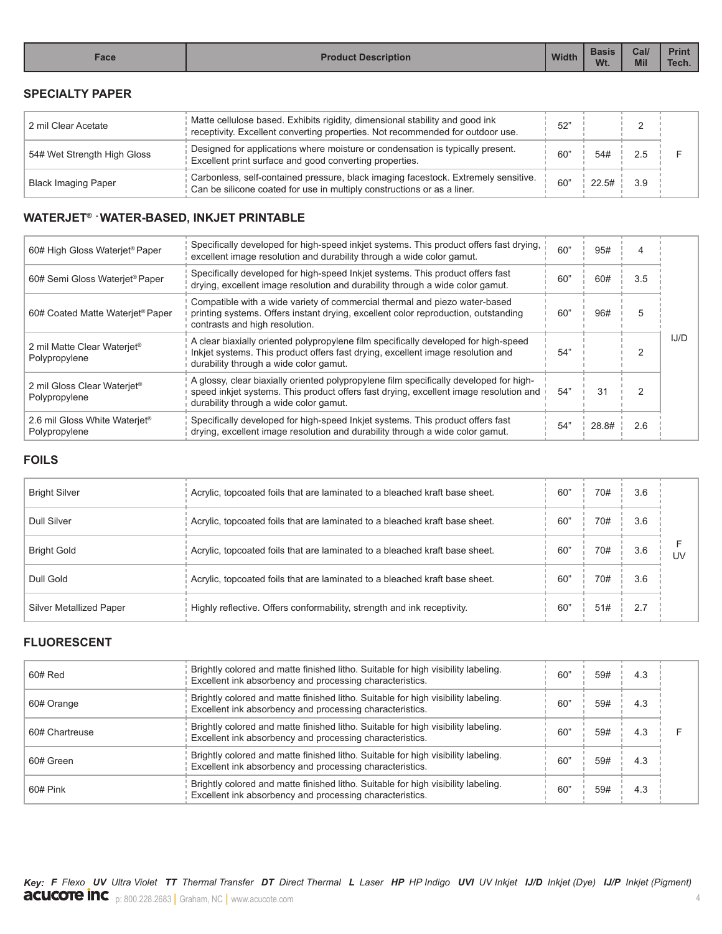#### **SPECIALTY PAPER**

| 2 mil Clear Acetate         | Matte cellulose based. Exhibits rigidity, dimensional stability and good ink<br>receptivity. Excellent converting properties. Not recommended for outdoor use. | 52"             |          |     |  |
|-----------------------------|----------------------------------------------------------------------------------------------------------------------------------------------------------------|-----------------|----------|-----|--|
| 54# Wet Strength High Gloss | Designed for applications where moisture or condensation is typically present.<br>Excellent print surface and good converting properties.                      | 60 <sup>*</sup> | 54#      | 2.5 |  |
| <b>Black Imaging Paper</b>  | Carbonless, self-contained pressure, black imaging facestock. Extremely sensitive.<br>Can be silicone coated for use in multiply constructions or as a liner.  | 60"             | $22.5\#$ | 39  |  |

## **WATERJET® - WATER-BASED, INKJET PRINTABLE**

| 60# High Gloss Waterjet <sup>®</sup> Paper                 | Specifically developed for high-speed inkjet systems. This product offers fast drying,<br>excellent image resolution and durability through a wide color gamut.                                                           | 60" | 95#   | 4   |      |
|------------------------------------------------------------|---------------------------------------------------------------------------------------------------------------------------------------------------------------------------------------------------------------------------|-----|-------|-----|------|
| 60# Semi Gloss Waterjet® Paper                             | Specifically developed for high-speed Inkjet systems. This product offers fast<br>drying, excellent image resolution and durability through a wide color gamut.                                                           | 60" | 60#   | 3.5 |      |
| 60# Coated Matte Waterjet <sup>®</sup> Paper               | Compatible with a wide variety of commercial thermal and piezo water-based<br>printing systems. Offers instant drying, excellent color reproduction, outstanding<br>contrasts and high resolution.                        | 60" | 96#   | 5   |      |
| 2 mil Matte Clear Waterjet <sup>®</sup><br>Polypropylene   | A clear biaxially oriented polypropylene film specifically developed for high-speed<br>Inkjet systems. This product offers fast drying, excellent image resolution and<br>durability through a wide color gamut.          | 54" |       | 2   | IJ/D |
| 2 mil Gloss Clear Waterjet <sup>®</sup><br>Polypropylene   | A glossy, clear biaxially oriented polypropylene film specifically developed for high-<br>speed inkjet systems. This product offers fast drying, excellent image resolution and<br>durability through a wide color gamut. | 54" | 31    |     |      |
| 2.6 mil Gloss White Waterjet <sup>®</sup><br>Polypropylene | Specifically developed for high-speed Inkjet systems. This product offers fast<br>drying, excellent image resolution and durability through a wide color gamut.                                                           | 54" | 28.8# | 2.6 |      |

#### **FOILS**

| <b>Bright Silver</b>    | Acrylic, topcoated foils that are laminated to a bleached kraft base sheet. | $60^{\circ}$ | 70# | 3.6 |    |
|-------------------------|-----------------------------------------------------------------------------|--------------|-----|-----|----|
| <b>Dull Silver</b>      | Acrylic, topcoated foils that are laminated to a bleached kraft base sheet. | 60"          | 70# | 3.6 |    |
| <b>Bright Gold</b>      | Acrylic, topcoated foils that are laminated to a bleached kraft base sheet. | 60"          | 70# | 3.6 | UV |
| Dull Gold               | Acrylic, topcoated foils that are laminated to a bleached kraft base sheet. | $60^{\circ}$ | 70# | 3.6 |    |
| Silver Metallized Paper | Highly reflective. Offers conformability, strength and ink receptivity.     | $60^{\circ}$ | 51# | 2.7 |    |

# **FLUORESCENT**

| 60# Red        | Brightly colored and matte finished litho. Suitable for high visibility labeling.<br>Excellent ink absorbency and processing characteristics. | 60' | 59# | 4.3 |  |
|----------------|-----------------------------------------------------------------------------------------------------------------------------------------------|-----|-----|-----|--|
| 60# Orange     | Brightly colored and matte finished litho. Suitable for high visibility labeling.<br>Excellent ink absorbency and processing characteristics. | 60" | 59# | 4.3 |  |
| 60# Chartreuse | Brightly colored and matte finished litho. Suitable for high visibility labeling.<br>Excellent ink absorbency and processing characteristics. | 60" | 59# | 4.3 |  |
| 60# Green      | Brightly colored and matte finished litho. Suitable for high visibility labeling.<br>Excellent ink absorbency and processing characteristics. | 60' | 59# | 4.3 |  |
| 60# Pink       | Brightly colored and matte finished litho. Suitable for high visibility labeling.<br>Excellent ink absorbency and processing characteristics. | 60' | 59# | 4.3 |  |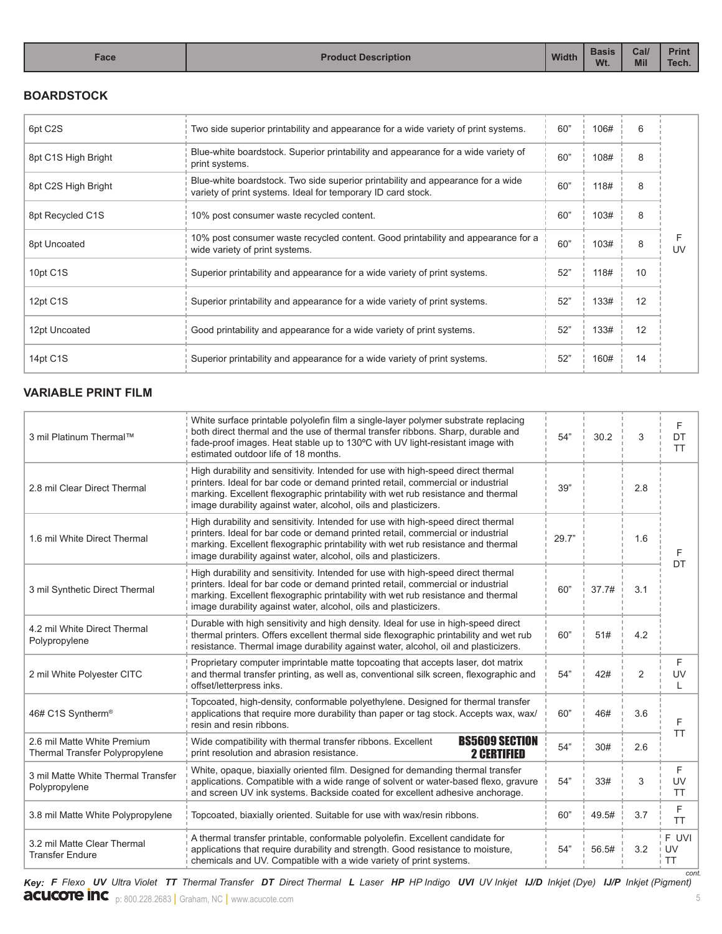#### **BOARDSTOCK**

| 6pt C <sub>2</sub> S | Two side superior printability and appearance for a wide variety of print systems.                                                              | 60" | 106# | 6  |    |
|----------------------|-------------------------------------------------------------------------------------------------------------------------------------------------|-----|------|----|----|
| 8pt C1S High Bright  | Blue-white boardstock. Superior printability and appearance for a wide variety of<br>print systems.                                             | 60" | 108# | 8  |    |
| 8pt C2S High Bright  | Blue-white boardstock. Two side superior printability and appearance for a wide<br>variety of print systems. Ideal for temporary ID card stock. | 60" | 118# | 8  |    |
| 8pt Recycled C1S     | 10% post consumer waste recycled content.                                                                                                       | 60" | 103# | 8  |    |
| 8pt Uncoated         | 10% post consumer waste recycled content. Good printability and appearance for a<br>wide variety of print systems.                              | 60" | 103# | 8  | UV |
| 10pt C1S             | Superior printability and appearance for a wide variety of print systems.                                                                       | 52" | 118# | 10 |    |
| 12pt C1S             | Superior printability and appearance for a wide variety of print systems.                                                                       | 52" | 133# | 12 |    |
| 12pt Uncoated        | Good printability and appearance for a wide variety of print systems.                                                                           | 52" | 133# | 12 |    |
| 14pt C1S             | Superior printability and appearance for a wide variety of print systems.                                                                       | 52" | 160# | 14 |    |

# **VARIABLE PRINT FILM**

| 3 mil Platinum Thermal™                                              | White surface printable polyolefin film a single-layer polymer substrate replacing<br>both direct thermal and the use of thermal transfer ribbons. Sharp, durable and<br>fade-proof images. Heat stable up to 130°C with UV light-resistant image with<br>estimated outdoor life of 18 months.                             | 54"   | 30.2  | 3              | F<br>DT<br><b>TT</b>     |
|----------------------------------------------------------------------|----------------------------------------------------------------------------------------------------------------------------------------------------------------------------------------------------------------------------------------------------------------------------------------------------------------------------|-------|-------|----------------|--------------------------|
| 2.8 mil Clear Direct Thermal                                         | High durability and sensitivity. Intended for use with high-speed direct thermal<br>printers. Ideal for bar code or demand printed retail, commercial or industrial<br>marking. Excellent flexographic printability with wet rub resistance and thermal<br>image durability against water, alcohol, oils and plasticizers. | 39"   |       | 2.8            |                          |
| 1.6 mil White Direct Thermal                                         | High durability and sensitivity. Intended for use with high-speed direct thermal<br>printers. Ideal for bar code or demand printed retail, commercial or industrial<br>marking. Excellent flexographic printability with wet rub resistance and thermal<br>image durability against water, alcohol, oils and plasticizers. | 29.7" |       | 1.6            | F                        |
| 3 mil Synthetic Direct Thermal                                       | High durability and sensitivity. Intended for use with high-speed direct thermal<br>printers. Ideal for bar code or demand printed retail, commercial or industrial<br>marking. Excellent flexographic printability with wet rub resistance and thermal<br>image durability against water, alcohol, oils and plasticizers. | 60"   | 37.7# | 3.1            | <b>DT</b>                |
| 4.2 mil White Direct Thermal<br>Polypropylene                        | Durable with high sensitivity and high density. Ideal for use in high-speed direct<br>thermal printers. Offers excellent thermal side flexographic printability and wet rub<br>resistance. Thermal image durability against water, alcohol, oil and plasticizers.                                                          | 60"   | 51#   | 4.2            |                          |
| 2 mil White Polyester CITC                                           | Proprietary computer imprintable matte topcoating that accepts laser, dot matrix<br>and thermal transfer printing, as well as, conventional silk screen, flexographic and<br>offset/letterpress inks.                                                                                                                      | 54"   | 42#   | $\overline{2}$ | F<br>UV                  |
| 46# C1S Syntherm <sup>®</sup>                                        | Topcoated, high-density, conformable polyethylene. Designed for thermal transfer<br>applications that require more durability than paper or tag stock. Accepts wax, wax/<br>resin and resin ribbons.                                                                                                                       | 60"   | 46#   | 3.6            | F                        |
| 2.6 mil Matte White Premium<br><b>Thermal Transfer Polypropylene</b> | <b>BS5609 SECTION</b><br>Wide compatibility with thermal transfer ribbons. Excellent<br>print resolution and abrasion resistance.<br><b>2 CERTIFIED</b>                                                                                                                                                                    | 54"   | 30#   | 2.6            | <b>TT</b>                |
| 3 mil Matte White Thermal Transfer<br>Polypropylene                  | White, opaque, biaxially oriented film. Designed for demanding thermal transfer<br>applications. Compatible with a wide range of solvent or water-based flexo, gravure<br>and screen UV ink systems. Backside coated for excellent adhesive anchorage.                                                                     | 54"   | 33#   | 3              | F<br>UV<br><b>TT</b>     |
| 3.8 mil Matte White Polypropylene                                    | Topcoated, biaxially oriented. Suitable for use with wax/resin ribbons.                                                                                                                                                                                                                                                    | 60"   | 49.5# | 3.7            | F<br><b>TT</b>           |
| 3.2 mil Matte Clear Thermal<br><b>Transfer Endure</b>                | A thermal transfer printable, conformable polyolefin. Excellent candidate for<br>applications that require durability and strength. Good resistance to moisture,<br>chemicals and UV. Compatible with a wide variety of print systems.                                                                                     | 54"   | 56.5# | 3.2            | F UVI<br>UV<br><b>TT</b> |

**acucote inc** p: 800.228.2683 | Graham, NC | www.acucote.com 5 Key: F Flexo UV Ultra Violet TT Thermal Transfer DT Direct Thermal L Laser HP HP Indigo UVI UV Inkjet IJ/D Inkjet (Dye) IJ/P Inkjet (Pigment) *cont.*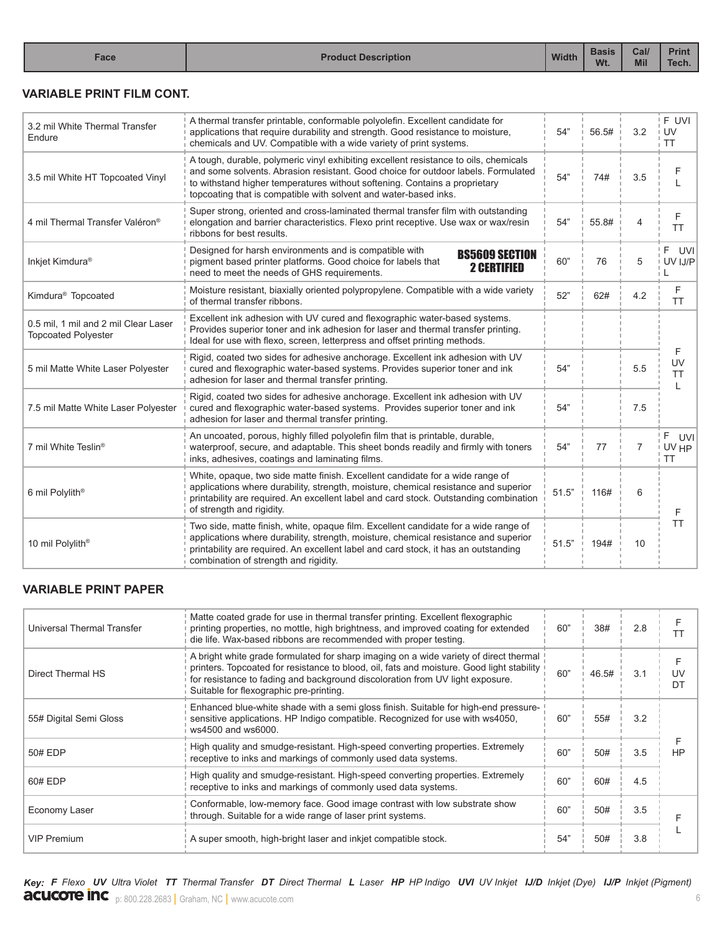# **VARIABLE PRINT FILM CONT.**

| 3.2 mil White Thermal Transfer<br>Endure                           | A thermal transfer printable, conformable polyolefin. Excellent candidate for<br>applications that require durability and strength. Good resistance to moisture,<br>chemicals and UV. Compatible with a wide variety of print systems.                                                                                      | 54"   | 56.5# | 3.2 | F UVI<br>UV<br><b>TT</b>        |
|--------------------------------------------------------------------|-----------------------------------------------------------------------------------------------------------------------------------------------------------------------------------------------------------------------------------------------------------------------------------------------------------------------------|-------|-------|-----|---------------------------------|
| 3.5 mil White HT Topcoated Vinyl                                   | A tough, durable, polymeric vinyl exhibiting excellent resistance to oils, chemicals<br>and some solvents. Abrasion resistant, Good choice for outdoor labels. Formulated<br>to withstand higher temperatures without softening. Contains a proprietary<br>topcoating that is compatible with solvent and water-based inks. | 54"   | 74#   | 3.5 | F                               |
| 4 mil Thermal Transfer Valéron®                                    | Super strong, oriented and cross-laminated thermal transfer film with outstanding<br>elongation and barrier characteristics. Flexo print receptive. Use wax or wax/resin<br>ribbons for best results.                                                                                                                       | 54"   | 55.8# | 4   | F<br><b>TT</b>                  |
| Inkjet Kimdura®                                                    | Designed for harsh environments and is compatible with<br><b>BS5609 SECTION</b><br>pigment based printer platforms. Good choice for labels that<br><b>2 CERTIFIED</b><br>need to meet the needs of GHS requirements.                                                                                                        | 60"   | 76    | 5   | F.<br>UVI I<br>UV IJ/P          |
| Kimdura <sup>®</sup> Topcoated                                     | Moisture resistant, biaxially oriented polypropylene. Compatible with a wide variety<br>of thermal transfer ribbons.                                                                                                                                                                                                        | 52"   | 62#   | 4.2 | F<br><b>TT</b>                  |
| 0.5 mil, 1 mil and 2 mil Clear Laser<br><b>Topcoated Polyester</b> | Excellent ink adhesion with UV cured and flexographic water-based systems.<br>Provides superior toner and ink adhesion for laser and thermal transfer printing.<br>Ideal for use with flexo, screen, letterpress and offset printing methods.                                                                               |       |       |     |                                 |
| 5 mil Matte White Laser Polyester                                  | Rigid, coated two sides for adhesive anchorage. Excellent ink adhesion with UV<br>cured and flexographic water-based systems. Provides superior toner and ink<br>adhesion for laser and thermal transfer printing.                                                                                                          | 54"   |       | 5.5 | F<br>UV<br><b>TT</b>            |
| 7.5 mil Matte White Laser Polyester                                | Rigid, coated two sides for adhesive anchorage. Excellent ink adhesion with UV<br>cured and flexographic water-based systems. Provides superior toner and ink<br>adhesion for laser and thermal transfer printing.                                                                                                          | 54"   |       | 7.5 |                                 |
| 7 mil White Teslin®                                                | An uncoated, porous, highly filled polyolefin film that is printable, durable,<br>waterproof, secure, and adaptable. This sheet bonds readily and firmly with toners<br>inks, adhesives, coatings and laminating films.                                                                                                     | 54"   | 77    | 7   | F.<br>UVI<br>UV HP<br><b>TT</b> |
| 6 mil Polylith <sup>®</sup>                                        | White, opaque, two side matte finish. Excellent candidate for a wide range of<br>applications where durability, strength, moisture, chemical resistance and superior<br>printability are required. An excellent label and card stock. Outstanding combination<br>of strength and rigidity.                                  | 51.5" | 116#  | 6   | F                               |
| 10 mil Polylith <sup>®</sup>                                       | Two side, matte finish, white, opaque film. Excellent candidate for a wide range of<br>applications where durability, strength, moisture, chemical resistance and superior<br>printability are required. An excellent label and card stock, it has an outstanding<br>combination of strength and rigidity.                  | 51.5" | 194#  | 10  | <b>TT</b>                       |

## **VARIABLE PRINT PAPER**

| Universal Thermal Transfer | Matte coated grade for use in thermal transfer printing. Excellent flexographic<br>printing properties, no mottle, high brightness, and improved coating for extended<br>die life. Wax-based ribbons are recommended with proper testing.                                                                      | 60" | 38#   | 2.8 |           |
|----------------------------|----------------------------------------------------------------------------------------------------------------------------------------------------------------------------------------------------------------------------------------------------------------------------------------------------------------|-----|-------|-----|-----------|
| Direct Thermal HS          | A bright white grade formulated for sharp imaging on a wide variety of direct thermal<br>printers. Topcoated for resistance to blood, oil, fats and moisture. Good light stability<br>for resistance to fading and background discoloration from UV light exposure.<br>Suitable for flexographic pre-printing. | 60" | 46.5# | 3.1 | UV.<br>D. |
| 55# Digital Semi Gloss     | Enhanced blue-white shade with a semi gloss finish. Suitable for high-end pressure-<br>sensitive applications. HP Indigo compatible. Recognized for use with ws4050.<br>ws4500 and ws6000.                                                                                                                     | 60" | 55#   | 3.2 |           |
| 50# EDP                    | High quality and smudge-resistant. High-speed converting properties. Extremely<br>receptive to inks and markings of commonly used data systems.                                                                                                                                                                | 60" | 50#   | 3.5 | <b>HP</b> |
| 60# EDP                    | High quality and smudge-resistant. High-speed converting properties. Extremely<br>receptive to inks and markings of commonly used data systems.                                                                                                                                                                | 60" | 60#   | 4.5 |           |
| Economy Laser              | Conformable, low-memory face. Good image contrast with low substrate show<br>through. Suitable for a wide range of laser print systems.                                                                                                                                                                        | 60" | 50#   | 3.5 |           |
| <b>VIP Premium</b>         | A super smooth, high-bright laser and inkjet compatible stock.                                                                                                                                                                                                                                                 | 54" | 50#   | 3.8 |           |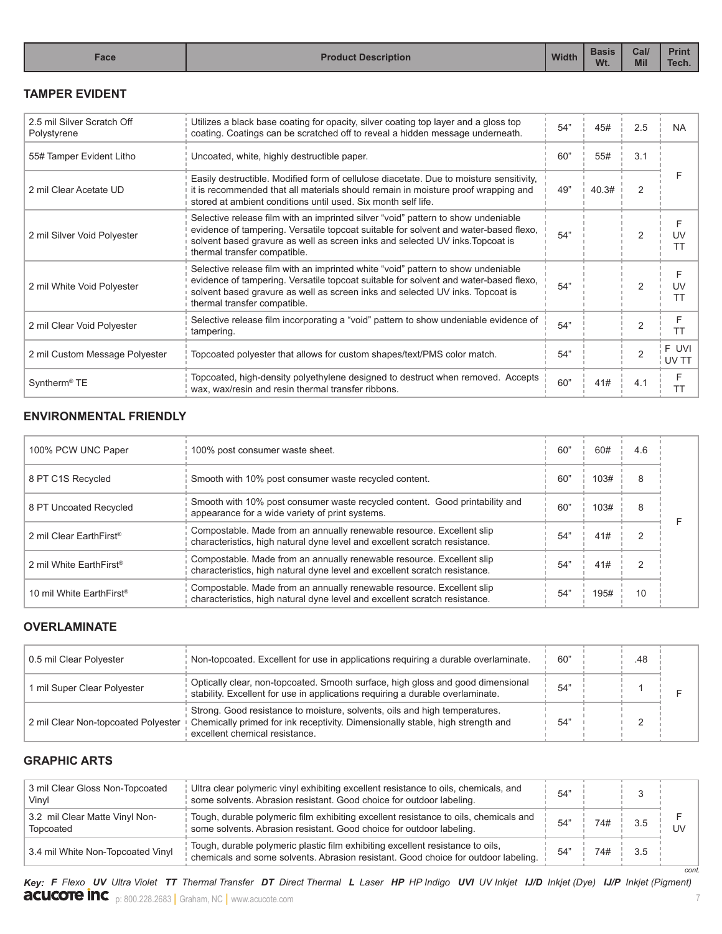# **TAMPER EVIDENT**

| 2.5 mil Silver Scratch Off<br>Polystyrene | Utilizes a black base coating for opacity, silver coating top layer and a gloss top<br>coating. Coatings can be scratched off to reveal a hidden message underneath.                                                                                                                       | 54" | 45#   | 2.5            | <b>NA</b>      |
|-------------------------------------------|--------------------------------------------------------------------------------------------------------------------------------------------------------------------------------------------------------------------------------------------------------------------------------------------|-----|-------|----------------|----------------|
| 55# Tamper Evident Litho                  | Uncoated, white, highly destructible paper.                                                                                                                                                                                                                                                | 60" | 55#   | 3.1            |                |
| 2 mil Clear Acetate UD                    | Easily destructible. Modified form of cellulose diacetate. Due to moisture sensitivity,<br>it is recommended that all materials should remain in moisture proof wrapping and<br>stored at ambient conditions until used. Six month self life.                                              | 49" | 40.3# | 2              |                |
| 2 mil Silver Void Polyester               | Selective release film with an imprinted silver "void" pattern to show undeniable<br>evidence of tampering. Versatile topcoat suitable for solvent and water-based flexo,<br>solvent based gravure as well as screen inks and selected UV inks. Topcoat is<br>thermal transfer compatible. | 54" |       | 2              | UV<br>ТT       |
| 2 mil White Void Polyester                | Selective release film with an imprinted white "void" pattern to show undeniable<br>evidence of tampering. Versatile topcoat suitable for solvent and water-based flexo,<br>solvent based gravure as well as screen inks and selected UV inks. Topcoat is<br>thermal transfer compatible.  | 54" |       | 2              | UV<br>ТT       |
| 2 mil Clear Void Polyester                | Selective release film incorporating a "void" pattern to show undeniable evidence of<br>tampering.                                                                                                                                                                                         | 54" |       | 2              | F<br><b>TT</b> |
| 2 mil Custom Message Polyester            | Topcoated polyester that allows for custom shapes/text/PMS color match.                                                                                                                                                                                                                    | 54" |       | $\overline{2}$ | F UVI<br>UV T1 |
| Syntherm <sup>®</sup> TE                  | Topcoated, high-density polyethylene designed to destruct when removed. Accepts<br>wax, wax/resin and resin thermal transfer ribbons.                                                                                                                                                      | 60" | 41#   | 4.1            | F<br><b>TT</b> |

# **ENVIRONMENTAL FRIENDLY**

| 100% PCW UNC Paper                   | 100% post consumer waste sheet.                                                                                                                     | 60" | 60#  | 4.6            |  |
|--------------------------------------|-----------------------------------------------------------------------------------------------------------------------------------------------------|-----|------|----------------|--|
| 8 PT C1S Recycled                    | Smooth with 10% post consumer waste recycled content.                                                                                               | 60" | 103# | 8              |  |
| 8 PT Uncoated Recycled               | Smooth with 10% post consumer waste recycled content. Good printability and<br>appearance for a wide variety of print systems.                      | 60" | 103# | 8              |  |
| 2 mil Clear EarthFirst <sup>®</sup>  | Compostable. Made from an annually renewable resource. Excellent slip<br>characteristics, high natural dyne level and excellent scratch resistance. | 54" | 41#  | $\mathfrak{p}$ |  |
| 2 mil White EarthFirst <sup>®</sup>  | Compostable. Made from an annually renewable resource. Excellent slip<br>characteristics, high natural dyne level and excellent scratch resistance. | 54" | 41#  | $\mathcal{P}$  |  |
| 10 mil White EarthFirst <sup>®</sup> | Compostable. Made from an annually renewable resource. Excellent slip<br>characteristics, high natural dyne level and excellent scratch resistance. | 54" | 195# | 10             |  |

## **OVERLAMINATE**

| 0.5 mil Clear Polyester             | Non-topcoated. Excellent for use in applications requiring a durable overlaminate.                                                                                                             | 60" | .48 |  |
|-------------------------------------|------------------------------------------------------------------------------------------------------------------------------------------------------------------------------------------------|-----|-----|--|
| 1 mil Super Clear Polyester         | Optically clear, non-topcoated. Smooth surface, high gloss and good dimensional<br>stability. Excellent for use in applications requiring a durable overlaminate.                              | 54" |     |  |
| 2 mil Clear Non-topcoated Polyester | Strong. Good resistance to moisture, solvents, oils and high temperatures.<br>Chemically primed for ink receptivity. Dimensionally stable, high strength and<br>excellent chemical resistance. | 54  |     |  |

# **GRAPHIC ARTS**

| 3 mil Clear Gloss Non-Topcoated<br>Vinvl    | Ultra clear polymeric vinyl exhibiting excellent resistance to oils, chemicals, and<br>some solvents. Abrasion resistant. Good choice for outdoor labeling.          | 54" |     |     |      |
|---------------------------------------------|----------------------------------------------------------------------------------------------------------------------------------------------------------------------|-----|-----|-----|------|
| 3.2 mil Clear Matte Vinyl Non-<br>Topcoated | Tough, durable polymeric film exhibiting excellent resistance to oils, chemicals and<br>some solvents. Abrasion resistant. Good choice for outdoor labeling.         | 54' | 74# | 3.5 | UV   |
| 3.4 mil White Non-Topcoated Vinyl           | Tough, durable polymeric plastic film exhibiting excellent resistance to oils,<br>chemicals and some solvents. Abrasion resistant. Good choice for outdoor labeling. | 54" | 74# | 3.5 |      |
|                                             |                                                                                                                                                                      |     |     |     | cont |

**acucote inc** p: 800.228.2683 | Graham, NC | www.acucote.com **7** 7 Key: F Flexo UV Ultra Violet TT Thermal Transfer DT Direct Thermal L Laser HP HP Indigo UVI UV Inkjet IJ/D Inkjet (Dye) IJ/P Inkjet (Pigment)